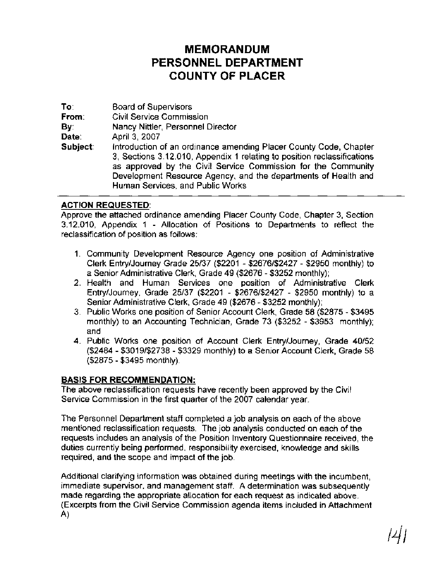## **MEMORANDUM PERSONNEL DEPARTMENT COUNTY OF PLACER**

To: Board of Supervisors From: Civil Service Commission **By:** Nancy Nittler, Personnel Director Date: April 3, 2007 Subject: Introduction of an ordinance amending Placer County Code, Chapter 3, Sections 3.12.010, Appendix 1 relating to position reclassifications as approved by the Civil Service Commission for the Community Development Resource Agency, and the departments of Health and Human Services, and Public Works

## ACTION REQUESTED:

Approve the attached ordinance amending Placer County Code, Chapter 3, Section 3.12.010, Appendix 1 - Allocation of Positions to Departments to reflect the reclassification of position as follows:

- 1. Community Development Resource Agency one position of Administrative Clerk EntryIJourney Grade 25/37 (\$2201 - \$2676/\$2427 - \$2950 monthly) to a Senior Administrative Clerk, Grade 49 (\$2676 - \$3252 monthly);
- 2. Health and Human Services one position of Administrative Clerk EntryIJourney, Grade 25/37 (\$2201 - \$267662427 - \$2950 monthly) to a Senior Administrative Clerk, Grade 49 (\$2676 - \$3252 monthly);
- 3. Public Works one position of Senior Account Clerk, Grade 58 (\$2875 \$3495 monthly) to an Accounting Technician, Grade 73 (\$3252 - \$3953 monthly); and
- 4. Public Works one position of Account Clerk EntryIJourney, Grade 40152 (\$2484 - \$3019/\$2738 - \$3329 monthly) to a Senior Account Clerk, Grade 58 (\$2875 - \$3495 monthly).

## BASIS FOR RECOMMENDATION:

The above reclassification requests have recently been approved by the Civil Service Commission in the first quarter of the 2007 calendar year.

The Personnel Department staff completed a job analysis on each of the above mentioned reclassification requests. The job analysis conducted on each of the requests includes an analysis of the Position Inventory Questionnaire received, the duties currently being performed, responsibility exercised, knowledge and skills required, and the scope and impact of the job.

Additional clarifying information was obtained during meetings with the incumbent, immediate supervisor, and management staff. A determination was subsequently made regarding the appropriate allocation for each request as indicated above. (Excerpts from the Civil Service Commission agenda items included in Attachment A)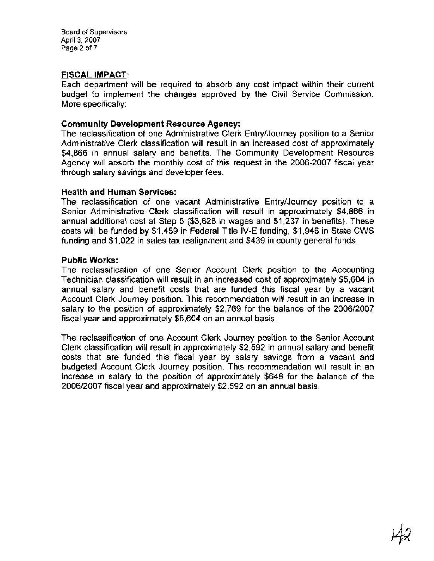Board of Supervisors April 3, 2007 Page 2 of 7

## **FISCAL IMPACT:**

Each department will be required to absorb any cost impact within their current budget to implement the changes approved by the Civil Service Commission. More specifically :

## **Community Development Resource Agency:**

The reclassification of one Administrative Clerk EntryIJourney position to a Senior Administrative Clerk classification will result in an increased cost of approximately \$4,866 in annual salary and benefits. The Community Development Resource Agency will absorb the monthly cost of this request in the 2006-2007 fiscal year through salary savings and developer fees.

#### **Health and Human Services:**

The reclassification of one vacant Administrative EntryIJourney position to a Senior Administrative Clerk classification will result in approximately \$4,866 in annual additional cost at Step 5 (\$3,628 in wages and \$1,237 in benefits). These costs will be funded by \$1,459 in Federal Title IV-E funding, \$1,946 in State CWS funding and \$1,022 in sales tax realignment and \$439 in county general funds.

## **Public Works:**

The reclassification of one Senior Account Clerk position to the Accounting Technician classification will result in an increased cost of approximately \$5,604 in annual salary and benefit costs that are funded this fiscal year by a vacant Account Clerk Journey position. This recommendation will result in an increase in salary to the position of approximately \$2,769 for the balance of the 2006/2007 fiscal year and approximately \$5,604 on an annual basis.

The reclassification of one Account Clerk Journey position to the Senior Account Clerk classification will result in approximately \$2,592 in annual salary and benefit costs that are funded this fiscal year by salary savings from a vacant and budgeted Account Clerk Journey position. This recommendation will result in an increase in salary to the position of approximately \$648 for the balance of the 200612007 fiscal year and approximately \$2,592 on an annual basis.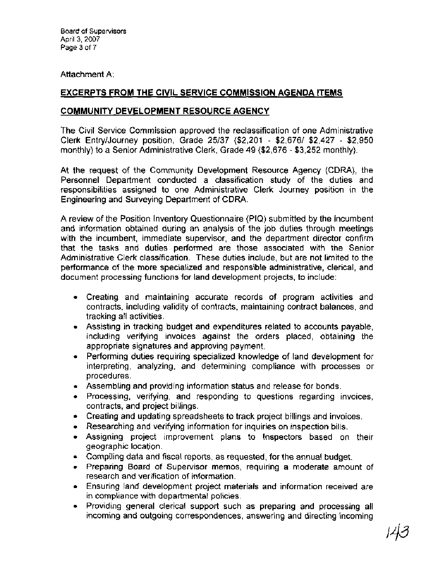## Attachment A:

## **EXCERPTS FROM THE CIVIL SERVICE COMMISSION AGENDA ITEMS**

## **COMMUNITY DEVELOPMENT RESOURCE AGENCY**

The Civil Service Commission approved the reclassification of one Administrative Clerk EntryIJourney position, Grade 25137 (\$2,201 - \$2,6761 \$2,427 - \$2,950 monthly) to a Senior Administrative Clerk, Grade **49** (\$2,676 - \$3,252 monthly).

At the request of the Community Development Resource Agency (CDRA), the Personnel Department conducted a classification study of the duties and responsibilities assigned to one Administrative Clerk Journey position in the Engineering and Surveying Department of CDRA.

A review of the Position Inventory Questionnaire (PIQ) submitted by the incumbent and information obtained during an analysis of the job duties through meetings with the incumbent, immediate supervisor, and the department director confirm that the tasks and duties performed are those associated with the Senior Administrative Clerk classification. These duties include, but are not limited to the performance of the more specialized and responsible administrative, clerical, and document processing functions for land development projects, to include:

- Creating and maintaining accurate records of program activities and contracts, including validity of contracts, maintaining contract balances, and tracking all activities.
- Assisting in tracking budget and expenditures related to accounts payable, including verifying invoices against the orders placed, obtaining the appropriate signatures and approving payment.
- Performing duties requiring specialized knowledge of land development for interpreting, analyzing, and determining compliance with processes or procedures.
- Assembling and providing information status and release for bonds.
- Processing, verifying, and responding to questions regarding invoices, contracts, and project billings.
- Creating and updating spreadsheets to track project billings and invoices.
- Researching and verifying information for inquiries on inspection bills.
- Assigning project improvement plans to Inspectors based on their geographic location.
- Compiling data and fiscal reports, as requested, for the annual budget.
- Preparing Board of Supervisor memos, requiring a moderate amount of research and verification of information.
- Ensuring land development project materials and information received are in compliance with departmental policies.
- Providing general clerical support such as preparing and processing all  $\bullet$ incoming and outgoing correspondences, answering and directing incoming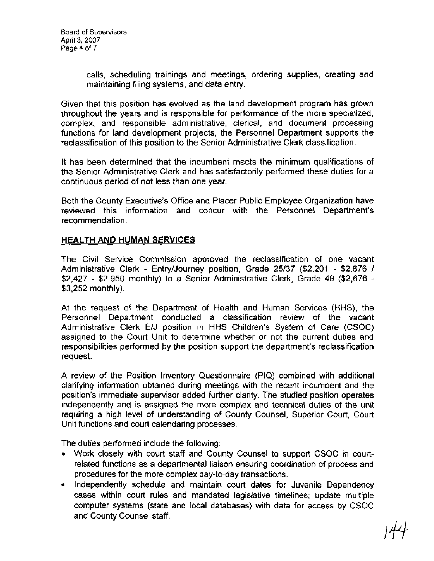calls, scheduling trainings and meetings, ordering supplies, creating and maintaining filing systems, and data entry.

Given that this position has evolved as the land development program has grown throughout the years and is responsible for performance of the more specialized, complex, and responsible administrative, clerical, and document processing functions for land development projects, the Personnel Department supports the reclassification of this position to the Senior Administrative Clerk classification.

It has been determined that the incumbent meets the minimum qualifications of the Senior Administrative Clerk and has satisfactorily performed these duties for a continuous period of not less than one year.

Both the County Executive's Office and Placer Public Employee Organization have reviewed this information and concur with the Personnel Department's recommendation.

## **HEALTH AND HUMAN SERVICES**

The Civil Service Commission approved the reclassification of one vacant Administrative Clerk - EntryIJourney position, Grade 25/37 (\$2,201 - \$2,676 / \$2,427 - \$2,950 monthly) to a Senior Administrative Clerk, Grade 49 (\$2,676 - \$3,252 monthly).

At the request of the Department of Health and Human Services (HHS), the Personnel Department conducted a classification review of the vacant Administrative Clerk E/J position in HHS Children's System of Care (CSOC) assigned to the Court Unit to determine whether or not the current duties and responsibilities performed by the position support the department's reclassification request.

A review of the Position Inventory Questionnaire (PIQ) combined with additional clarifying information obtained during meetings with the recent incumbent and the position's immediate supervisor added further clarity. The studied position operates independently and is assigned the more complex and technical duties of the unit requiring a high level of understanding of County Counsel, Superior Court, Court Unit functions and court calendaring processes.

The duties performed include the following:

- Work closely with court staff and County Counsel to support CSOC in courtrelated functions as a departmental liaison ensuring coordination of process and procedures for the more complex day-to-day transactions.
- **Independently schedule and maintain court dates for Juvenile Dependency** cases within court rules and mandated legislative timelines; update multiple computer systems (state and local databases) with data for access by CSOC and County Counsel staff.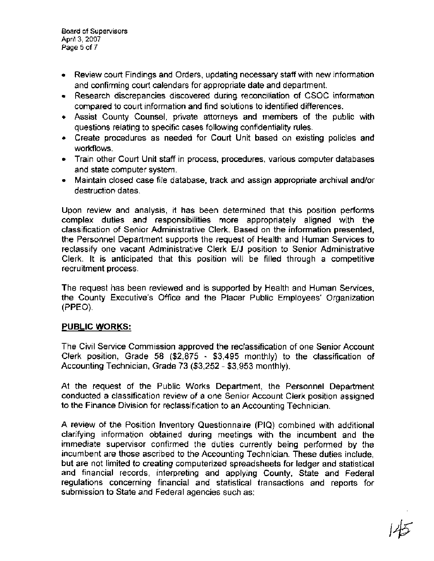Board of Supervisors April 3, 2007 **Page** 5 of 7

- Review court Findings and Orders, updating necessary staff with new information and confirming court calendars for appropriate date and department.
- Research discrepancies discovered during reconciliation of CSOC information compared to court information and find solutions to identified differences.
- Assist County Counsel, private attorneys and members of the public with questions relating to specific cases following confidentiality rules.
- Create procedures as needed for Court Unit based on existing policies and workflows.
- Train other Court Unit staff in process, procedures, various computer databases and state computer system.
- Maintain closed case file database, track and assign appropriate archival and/or destruction dates.

Upon review and analysis, it has been determined that this position performs complex duties and responsibilities more appropriately aligned with the classification of Senior Administrative Clerk. Based on the information presented, the Personnel Department supports the request of Health and Human Services to reclassify one vacant Administrative Clerk EIJ position to Senior Administrative Clerk. It is anticipated that this position will be filled through a competitive recruitment process.

The request has been reviewed and is supported by Health and Human Services, the County Executive's Office and the Placer Public Employees' Organization (PPEO).

## **PUBLIC WORKS:**

The Civil Service Commission approved the reclassification of one Senior Account Clerk position, Grade 58 (\$2,875 - \$3,495 monthly) to the classification of Accounting Technician, Grade 73 (\$3,252 - \$3,953 monthly).

At the request of the Public Works Department, the Personnel Department conducted a classification review of a one Senior Account Clerk position assigned to the Finance Division for reclassification to an Accounting Technician.

A review of the Position Inventory Questionnaire (PIQ) combined with additional clarifying information obtained during meetings with the incumbent and the immediate supervisor confirmed the duties currently being performed by the incumbent are those ascribed to the Accounting Technician. These duties include, but are not limited to creating computerized spreadsheets for ledger and statistical and financial records, interpreting and applying County, State and Federal regulations concerning financial and statistical transactions and reports for submission to State and Federal agencies such as: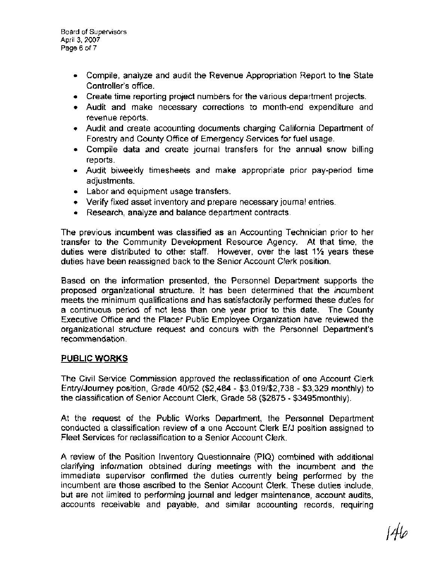- Compile, analyze and audit the Revenue Appropriation Report to the State Controller's office.
- Create time reporting project numbers for the various department projects.
- Audit and make necessary corrections to month-end expenditure and revenue reports.
- Audit and create accounting documents charging California Department of Forestry and County Office of Emergency Services for fuel usage.
- Compile data and create journal transfers for the annual snow billing reports.
- Audit biweekly timesheets and make appropriate prior pay-period time adjustments.
- Labor and equipment usage transfers.
- Verify fixed asset inventory and prepare necessary journal entries.
- Research, analyze and balance department contracts.

The previous incumbent was classified as an Accounting Technician prior to her transfer to the Community Development Resource Agency. At that time, the duties were distributed to other staff. However, over the last 1% years these duties have been reassigned back to the Senior Account Clerk position.

Based on the information presented, the Personnel Department supports the proposed organizational structure. It has been determined that the incumbent meets the minimum qualifications and has satisfactorily performed these duties for a continuous period of not less than one year prior to this date. The County Executive Office and the Placer Public Employee Organization have reviewed the organizational structure request and concurs with the Personnel Department's recommendation.

## **PUBLIC WORKS**

The Civil Service Commission approved the reclassification of one Account Clerk EntrylJourney position, Grade 40152 (\$2,484 - \$3,01962,738 - \$3,329 monthly) to the classification of Senior Account Clerk, Grade 58 (\$2875 - \$3495monthly).

At the request of the Public Works Department, the Personnel Department conducted a classification review of a one Account Clerk EIJ position assigned to Fleet Services for reclassification to a Senior Account Clerk.

A review of the Position Inventory Questionnaire (PIQ) combined with additional clarifying information obtained during meetings with the incumbent and the immediate supervisor confirmed the duties currently being performed by the incumbent are those ascribed to the Senior Account Clerk. These duties include, but are not limited to performing journal and ledger maintenance, account audits, accounts receivable and payable, and similar accounting records, requiring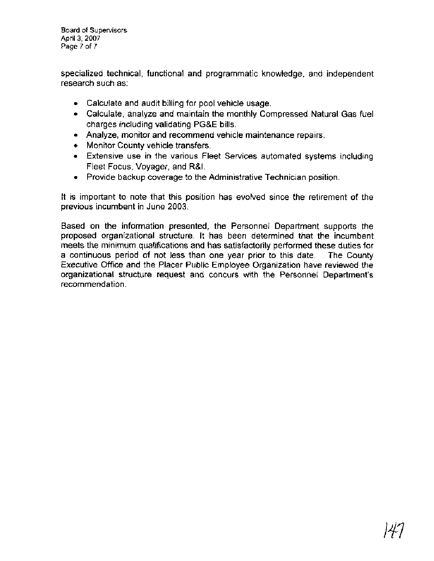**Board of Supervisors April 3, 2007 Page 7** of **7** 

specialized technical, functional and programmatic knowledge, and independent research such as:

- Calculate and audit billing for pool vehicle usage.
- Calculate, analyze and maintain the monthly Compressed Natural Gas fuel charges including validating PG&E bills.
- Analyze, monitor and recommend vehicle maintenance repairs.
- Monitor County vehicle transfers.
- Extensive use in the various Fleet Services automated systems including Fleet Focus, Voyager, and R&l.
- Provide backup coverage to the Administrative Technician position.

It is important to note that this position has evolved since the retirement of the previous incumbent in June 2003.

Based on the information presented, the Personnel Department supports the proposed organizational structure. It has been determined that the incumbent meets the minimum qualifications and has satisfactorily performed these duties for a continuous period of not less than one year prior to this date. The County Executive Office and the Placer Public Employee Organization have reviewed the organizational structure request and concurs with the Personnel Department's recommendation.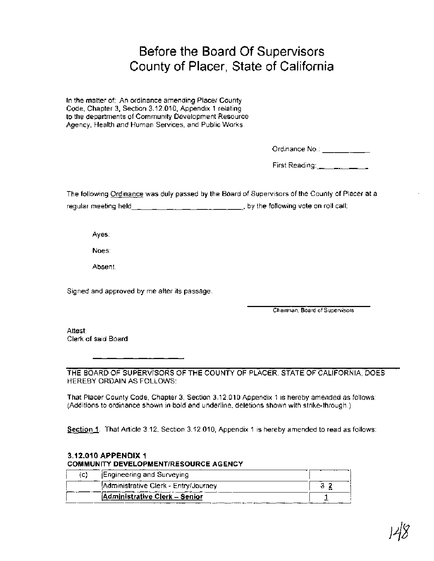# Before the Board Of Supervisors County of Placer, State of California

In the matter of: An ordinance amending Placer County Code, Chapter 3, Section 3.12.010, Appendix 1 relating to the departments of Community Development Resource Agency, Health and Human Services, and Public Works.

Ordinance No.: \_\_\_\_\_\_\_\_\_\_\_\_

First Reading:  $\frac{1}{2}$ ,  $\frac{1}{2}$ ,  $\frac{1}{2}$ ,  $\frac{1}{2}$ 

The following Ordinance was duly passed by the Board of Supervisors of the County of Placer at a regular meeting held , by the following vote on roll call:

## **3.1 2.010 APPENDIX 1 COMMUNITY DEVELOPMENTIRESOURCE AGENCY**

|         | Ayes:                                                                                                                                                                                       |                                |
|---------|---------------------------------------------------------------------------------------------------------------------------------------------------------------------------------------------|--------------------------------|
|         | Noes:                                                                                                                                                                                       |                                |
|         | Absent.                                                                                                                                                                                     |                                |
|         | Signed and approved by me after its passage.                                                                                                                                                |                                |
|         |                                                                                                                                                                                             | Chairman, Board of Supervisors |
| Attest: | Clerk of said Board                                                                                                                                                                         |                                |
|         | THE BOARD OF SUPERVISORS OF THE COUNTY OF PLACER, STATE OF CALIFORNIA, DOES<br>HEREBY ORDAIN AS FOLLOWS:                                                                                    |                                |
|         | That Placer County Code, Chapter 3, Section 3.12.010 Appendix 1 is hereby amended as follows:<br>(Additions to ordinance shown in bold and underline, deletions shown with strike-through.) |                                |
|         | Section 1. That Article 3.12, Section 3.12.010, Appendix 1 is hereby amended to read as follows:                                                                                            |                                |
|         | 3.12.010 APPENDIX 1<br><b>COMMUNITY DEVELOPMENT/RESOURCE AGENCY</b>                                                                                                                         |                                |
| (c)     | Engineering and Surveying                                                                                                                                                                   |                                |
|         | Administrative Clerk - Entry/Journey                                                                                                                                                        | 32                             |
|         | <b>Administrative Clerk - Senior</b>                                                                                                                                                        | $\mathbf{1}$                   |
|         |                                                                                                                                                                                             |                                |
|         |                                                                                                                                                                                             |                                |
|         |                                                                                                                                                                                             |                                |
|         |                                                                                                                                                                                             |                                |